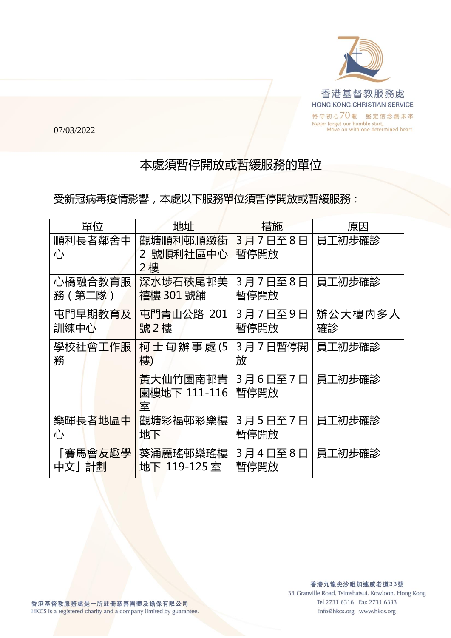

07/03/2022

## 本處須暫停開放或暫緩服務的單位

受新冠病毒疫情影響,本處以下服務單位須暫停開放或暫緩服務:

| 單位           | 地址                              | 措施              | 原因      |
|--------------|---------------------------------|-----------------|---------|
| 順利長者鄰舍中<br>心 | 觀塘順利邨順緻街<br>號順利社區中心<br>2<br>2 樓 | 3月7日至8日<br>暫停開放 | 員工初步確診  |
| 心橋融合教育服      | 深水埗石硤尾邨美                        | 3月7日至8日         | 員工初步確診  |
| 務(第二隊)       | 禧樓 301 號舖                       | 暫停開放            |         |
| 屯門早期教育及      | 屯門青山公路 201                      | 3月7日至9日         | 辦公大樓内多人 |
| 訓練中心         | 號2樓                             | 暫停開放            | 確診      |
| 學校社會工作服      | 柯士甸辦事處(5                        | 3月7日暫停開         | 員工初步確診  |
| 務            | 樓)                              | 放               |         |
|              | 黃大仙竹園南邨貴<br>園樓地下 111-116<br>室   | 3月6日至7日<br>暫停開放 | 員工初步確診  |
| 樂暉長者地區中      | 觀塘彩福邨彩樂樓                        | 3月5日至7日         | 員工初步確診  |
| 心            | 地下                              | 暫停開放            |         |
| 「賽馬會友趣學      | 葵涌麗瑤邨樂瑤樓                        | 3月4日至8日         | 員工初步確診  |
| 中文」計劃        | 地下 119-125室                     | 暫停開放            |         |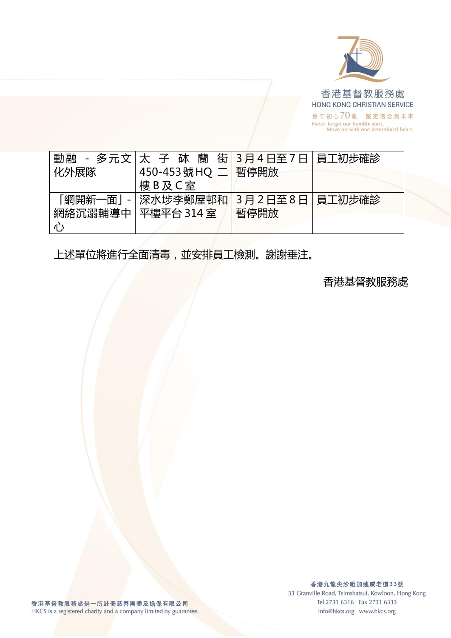

| 化外展隊                 | 動融 - 多元文 太 子 砵 蘭 街 3月4日至7日 員工初步確診<br>450-453 號 HQ 二   暫停開放<br>樓B及C室 |                          |  |
|----------------------|---------------------------------------------------------------------|--------------------------|--|
| 網絡沉溺輔導中   平樓平台 314 室 | 「網開新一面」 -   深水埗李鄭屋邨和                                                | 3月2日至8日   員工初步確診<br>暫停開放 |  |

上述單位將進行全面清毒,並安排員工檢測。謝謝垂注。

香港基督教服務處

香港九龍尖沙咀加連威老道33號 33 Granville Road, Tsimshatsui, Kowloon, Hong Kong Tel 2731 6316 Fax 2731 6333 info@hkcs.org www.hkcs.org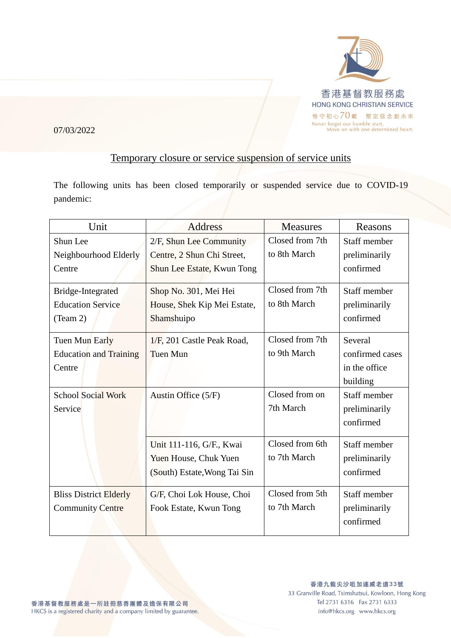

07/03/2022

## Temporary closure or service suspension of service units

The following units has been closed temporarily or suspended service due to COVID-19 pandemic:

| Unit                                                      | <b>Address</b>                                                                      | <b>Measures</b>                 | Reasons                                                 |
|-----------------------------------------------------------|-------------------------------------------------------------------------------------|---------------------------------|---------------------------------------------------------|
| Shun Lee<br>Neighbourhood Elderly<br>Centre               | 2/F, Shun Lee Community<br>Centre, 2 Shun Chi Street,<br>Shun Lee Estate, Kwun Tong | Closed from 7th<br>to 8th March | Staff member<br>preliminarily<br>confirmed              |
| Bridge-Integrated<br><b>Education Service</b><br>(Team 2) | Shop No. 301, Mei Hei<br>House, Shek Kip Mei Estate,<br>Shamshuipo                  | Closed from 7th<br>to 8th March | Staff member<br>preliminarily<br>confirmed              |
| Tuen Mun Early<br><b>Education and Training</b><br>Centre | 1/F, 201 Castle Peak Road,<br><b>Tuen Mun</b>                                       | Closed from 7th<br>to 9th March | Several<br>confirmed cases<br>in the office<br>building |
| <b>School Social Work</b><br>Service                      | Austin Office (5/F)                                                                 | Closed from on<br>7th March     | Staff member<br>preliminarily<br>confirmed              |
|                                                           | Unit 111-116, G/F., Kwai<br>Yuen House, Chuk Yuen<br>(South) Estate, Wong Tai Sin   | Closed from 6th<br>to 7th March | Staff member<br>preliminarily<br>confirmed              |
| <b>Bliss District Elderly</b><br><b>Community Centre</b>  | G/F, Choi Lok House, Choi<br>Fook Estate, Kwun Tong                                 | Closed from 5th<br>to 7th March | Staff member<br>preliminarily<br>confirmed              |